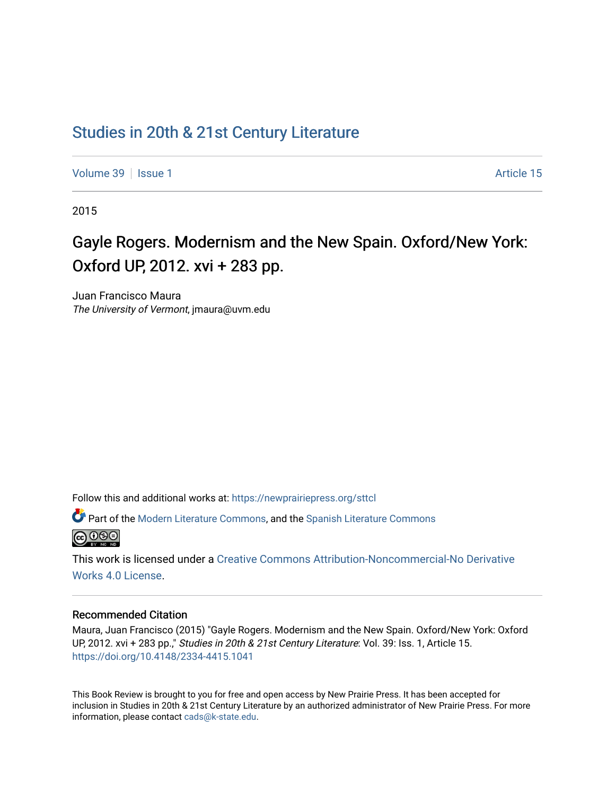# [Studies in 20th & 21st Century Literature](https://newprairiepress.org/sttcl)

[Volume 39](https://newprairiepress.org/sttcl/vol39) | [Issue 1](https://newprairiepress.org/sttcl/vol39/iss1) Article 15

2015

# Gayle Rogers. Modernism and the New Spain. Oxford/New York: Oxford UP, 2012. xvi + 283 pp.

Juan Francisco Maura The University of Vermont, jmaura@uvm.edu

Follow this and additional works at: [https://newprairiepress.org/sttcl](https://newprairiepress.org/sttcl?utm_source=newprairiepress.org%2Fsttcl%2Fvol39%2Fiss1%2F15&utm_medium=PDF&utm_campaign=PDFCoverPages) 

Part of the [Modern Literature Commons,](http://network.bepress.com/hgg/discipline/1050?utm_source=newprairiepress.org%2Fsttcl%2Fvol39%2Fiss1%2F15&utm_medium=PDF&utm_campaign=PDFCoverPages) and the [Spanish Literature Commons](http://network.bepress.com/hgg/discipline/550?utm_source=newprairiepress.org%2Fsttcl%2Fvol39%2Fiss1%2F15&utm_medium=PDF&utm_campaign=PDFCoverPages)  <u>@ 000</u>

This work is licensed under a [Creative Commons Attribution-Noncommercial-No Derivative](https://creativecommons.org/licenses/by-nc-nd/4.0/)  [Works 4.0 License](https://creativecommons.org/licenses/by-nc-nd/4.0/).

#### Recommended Citation

Maura, Juan Francisco (2015) "Gayle Rogers. Modernism and the New Spain. Oxford/New York: Oxford UP, 2012. xvi + 283 pp.," Studies in 20th & 21st Century Literature: Vol. 39: Iss. 1, Article 15. <https://doi.org/10.4148/2334-4415.1041>

This Book Review is brought to you for free and open access by New Prairie Press. It has been accepted for inclusion in Studies in 20th & 21st Century Literature by an authorized administrator of New Prairie Press. For more information, please contact [cads@k-state.edu](mailto:cads@k-state.edu).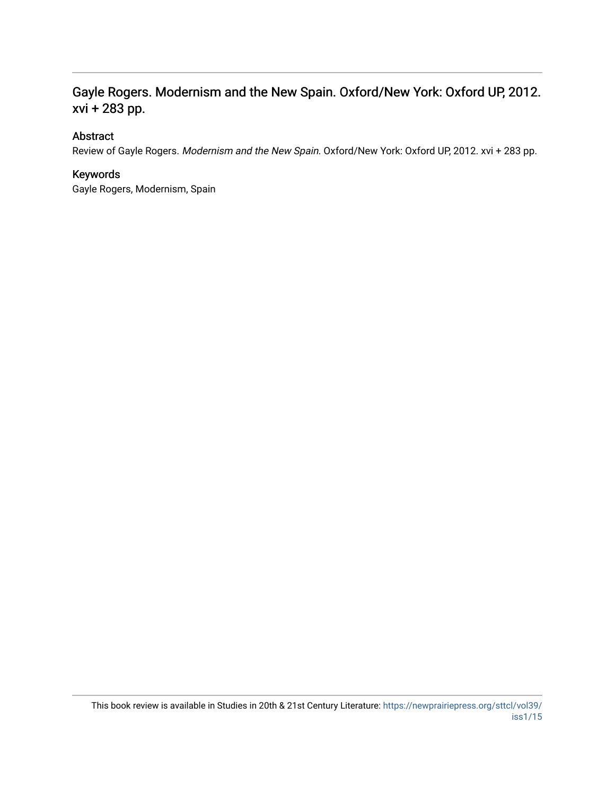## Gayle Rogers. Modernism and the New Spain. Oxford/New York: Oxford UP, 2012. xvi + 283 pp.

#### Abstract

Review of Gayle Rogers. Modernism and the New Spain. Oxford/New York: Oxford UP, 2012. xvi + 283 pp.

### Keywords

Gayle Rogers, Modernism, Spain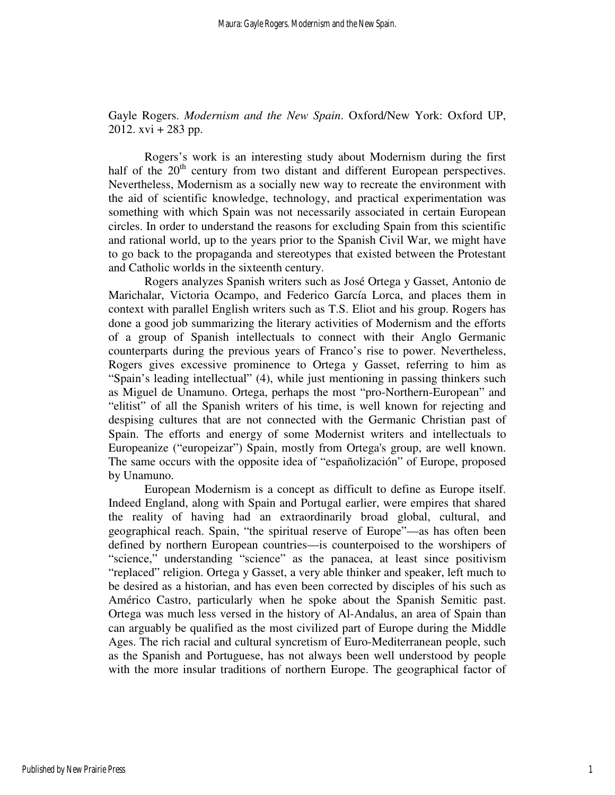Gayle Rogers. *Modernism and the New Spain*. Oxford/New York: Oxford UP, 2012. xvi + 283 pp.

Rogers's work is an interesting study about Modernism during the first half of the  $20<sup>th</sup>$  century from two distant and different European perspectives. Nevertheless, Modernism as a socially new way to recreate the environment with the aid of scientific knowledge, technology, and practical experimentation was something with which Spain was not necessarily associated in certain European circles. In order to understand the reasons for excluding Spain from this scientific and rational world, up to the years prior to the Spanish Civil War, we might have to go back to the propaganda and stereotypes that existed between the Protestant and Catholic worlds in the sixteenth century.

Rogers analyzes Spanish writers such as José Ortega y Gasset, Antonio de Marichalar, Victoria Ocampo, and Federico García Lorca, and places them in context with parallel English writers such as T.S. Eliot and his group. Rogers has done a good job summarizing the literary activities of Modernism and the efforts of a group of Spanish intellectuals to connect with their Anglo Germanic counterparts during the previous years of Franco's rise to power. Nevertheless, Rogers gives excessive prominence to Ortega y Gasset, referring to him as "Spain's leading intellectual" (4), while just mentioning in passing thinkers such as Miguel de Unamuno. Ortega, perhaps the most "pro-Northern-European" and "elitist" of all the Spanish writers of his time, is well known for rejecting and despising cultures that are not connected with the Germanic Christian past of Spain. The efforts and energy of some Modernist writers and intellectuals to Europeanize ("europeizar") Spain, mostly from Ortega's group, are well known. The same occurs with the opposite idea of "españolización" of Europe, proposed by Unamuno.

European Modernism is a concept as difficult to define as Europe itself. Indeed England, along with Spain and Portugal earlier, were empires that shared the reality of having had an extraordinarily broad global, cultural, and geographical reach. Spain, "the spiritual reserve of Europe"—as has often been defined by northern European countries—is counterpoised to the worshipers of "science," understanding "science" as the panacea, at least since positivism "replaced" religion. Ortega y Gasset, a very able thinker and speaker, left much to be desired as a historian, and has even been corrected by disciples of his such as Américo Castro, particularly when he spoke about the Spanish Semitic past. Ortega was much less versed in the history of Al-Andalus, an area of Spain than can arguably be qualified as the most civilized part of Europe during the Middle Ages. The rich racial and cultural syncretism of Euro-Mediterranean people, such as the Spanish and Portuguese, has not always been well understood by people with the more insular traditions of northern Europe. The geographical factor of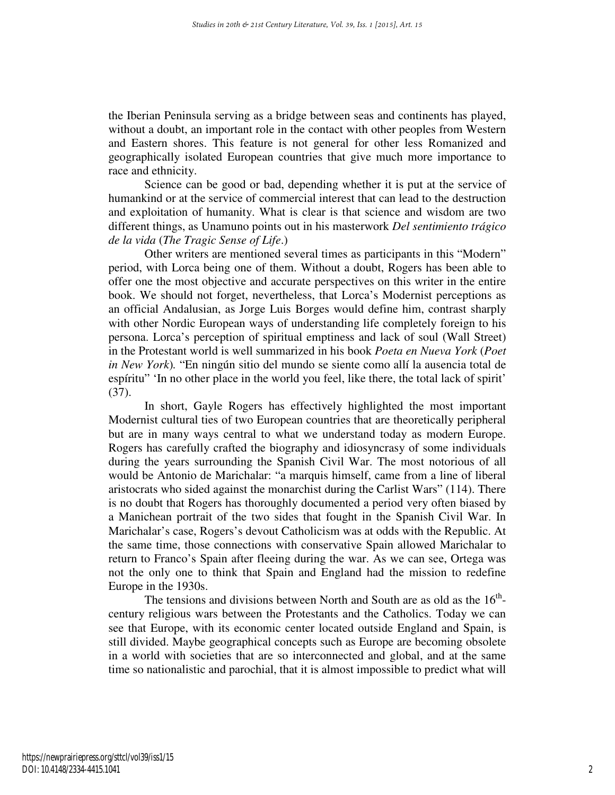the Iberian Peninsula serving as a bridge between seas and continents has played, without a doubt, an important role in the contact with other peoples from Western and Eastern shores. This feature is not general for other less Romanized and geographically isolated European countries that give much more importance to race and ethnicity.

Science can be good or bad, depending whether it is put at the service of humankind or at the service of commercial interest that can lead to the destruction and exploitation of humanity. What is clear is that science and wisdom are two different things, as Unamuno points out in his masterwork *Del sentimiento trágico de la vida* (*The Tragic Sense of Life*.)

Other writers are mentioned several times as participants in this "Modern" period, with Lorca being one of them. Without a doubt, Rogers has been able to offer one the most objective and accurate perspectives on this writer in the entire book. We should not forget, nevertheless, that Lorca's Modernist perceptions as an official Andalusian, as Jorge Luis Borges would define him, contrast sharply with other Nordic European ways of understanding life completely foreign to his persona. Lorca's perception of spiritual emptiness and lack of soul (Wall Street) in the Protestant world is well summarized in his book *Poeta en Nueva York* (*Poet in New York*)*.* "En ningún sitio del mundo se siente como allí la ausencia total de espíritu" 'In no other place in the world you feel, like there, the total lack of spirit' (37).

In short, Gayle Rogers has effectively highlighted the most important Modernist cultural ties of two European countries that are theoretically peripheral but are in many ways central to what we understand today as modern Europe. Rogers has carefully crafted the biography and idiosyncrasy of some individuals during the years surrounding the Spanish Civil War. The most notorious of all would be Antonio de Marichalar: "a marquis himself, came from a line of liberal aristocrats who sided against the monarchist during the Carlist Wars" (114). There is no doubt that Rogers has thoroughly documented a period very often biased by a Manichean portrait of the two sides that fought in the Spanish Civil War. In Marichalar's case, Rogers's devout Catholicism was at odds with the Republic. At the same time, those connections with conservative Spain allowed Marichalar to return to Franco's Spain after fleeing during the war. As we can see, Ortega was not the only one to think that Spain and England had the mission to redefine Europe in the 1930s.

The tensions and divisions between North and South are as old as the  $16<sup>th</sup>$ century religious wars between the Protestants and the Catholics. Today we can see that Europe, with its economic center located outside England and Spain, is still divided. Maybe geographical concepts such as Europe are becoming obsolete in a world with societies that are so interconnected and global, and at the same time so nationalistic and parochial, that it is almost impossible to predict what will